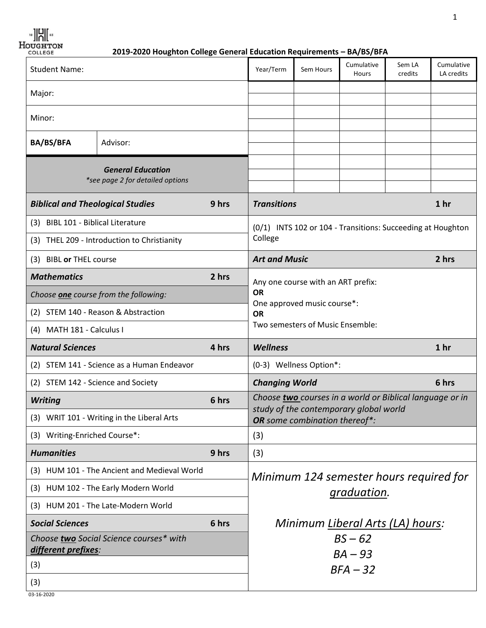**BIH**  $\Big|$  83

*H***OUGHTON**<br> **2019-2020 Houghton College General Education Requirements – BA/BS/BFA** 

| Cumulative<br>Cumulative<br>Sem LA                                      |                                                                                                                                  |
|-------------------------------------------------------------------------|----------------------------------------------------------------------------------------------------------------------------------|
| credits<br>LA credits<br>Hours                                          |                                                                                                                                  |
|                                                                         |                                                                                                                                  |
|                                                                         |                                                                                                                                  |
|                                                                         |                                                                                                                                  |
|                                                                         |                                                                                                                                  |
|                                                                         |                                                                                                                                  |
| 1 <sub>hr</sub>                                                         |                                                                                                                                  |
|                                                                         |                                                                                                                                  |
|                                                                         |                                                                                                                                  |
| 2 hrs                                                                   |                                                                                                                                  |
|                                                                         |                                                                                                                                  |
|                                                                         |                                                                                                                                  |
|                                                                         |                                                                                                                                  |
| Two semesters of Music Ensemble:                                        |                                                                                                                                  |
| 1 <sub>hr</sub>                                                         |                                                                                                                                  |
|                                                                         |                                                                                                                                  |
|                                                                         |                                                                                                                                  |
| 6 hrs                                                                   |                                                                                                                                  |
| Choose two courses in a world or Biblical language or in                |                                                                                                                                  |
| study of the contemporary global world<br>OR some combination thereof*: |                                                                                                                                  |
|                                                                         |                                                                                                                                  |
|                                                                         |                                                                                                                                  |
|                                                                         |                                                                                                                                  |
| Minimum 124 semester hours required for                                 |                                                                                                                                  |
| graduation.                                                             |                                                                                                                                  |
| Minimum Liberal Arts (LA) hours:                                        |                                                                                                                                  |
| $BS - 62$                                                               |                                                                                                                                  |
| $BA - 93$<br>$BFA-32$                                                   |                                                                                                                                  |
|                                                                         | (0/1) INTS 102 or 104 - Transitions: Succeeding at Houghton<br>Any one course with an ART prefix:<br>One approved music course*: |